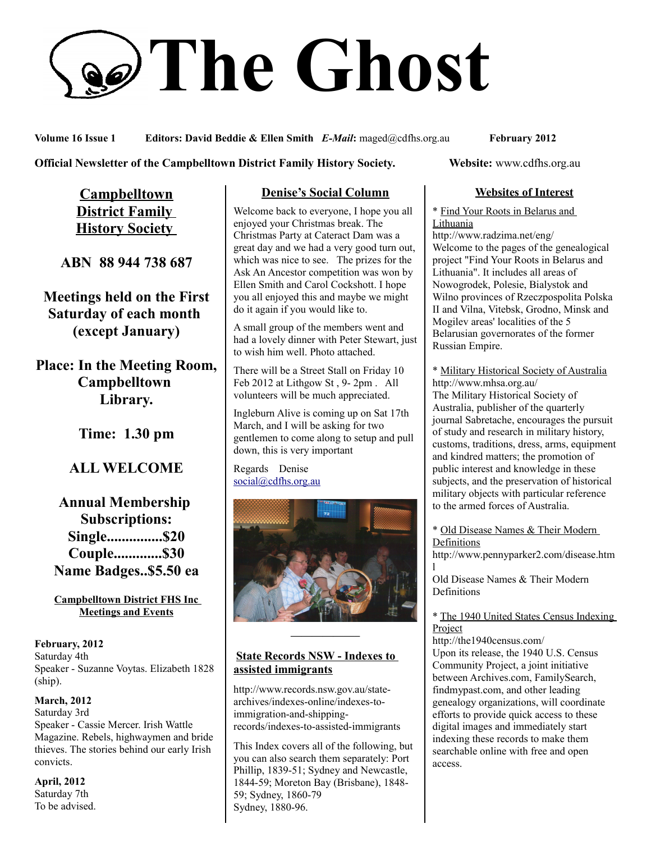# **The Ghost**

**Volume 16 Issue 1 Editors: David Beddie & Ellen Smith** *E-Mail***:** maged@cdfhs.org.au **February 2012**

#### **Official Newsletter of the Campbelltown District Family History Society. Website: www.cdfhs.org.au**

**Campbelltown District Family History Society** 

**ABN 88 944 738 687**

**Meetings held on the First Saturday of each month (except January)**

**Place: In the Meeting Room, Campbelltown Library.**

**Time: 1.30 pm**

# **ALL WELCOME**

**Annual Membership Subscriptions: Single...............\$20 Couple.............\$30 Name Badges..\$5.50 ea**

#### **Campbelltown District FHS Inc Meetings and Events**

**February, 2012** Saturday 4th Speaker - Suzanne Voytas. Elizabeth 1828 (ship).

**March, 2012** Saturday 3rd Speaker - Cassie Mercer. Irish Wattle Magazine. Rebels, highwaymen and bride thieves. The stories behind our early Irish convicts.

**April, 2012** Saturday 7th To be advised.

# **Denise's Social Column**

Welcome back to everyone, I hope you all enjoyed your Christmas break. The Christmas Party at Cateract Dam was a great day and we had a very good turn out, which was nice to see. The prizes for the Ask An Ancestor competition was won by Ellen Smith and Carol Cockshott. I hope you all enjoyed this and maybe we might do it again if you would like to.

A small group of the members went and had a lovely dinner with Peter Stewart, just to wish him well. Photo attached.

There will be a Street Stall on Friday 10 Feb 2012 at Lithgow St , 9- 2pm . All volunteers will be much appreciated.

Ingleburn Alive is coming up on Sat 17th March, and I will be asking for two gentlemen to come along to setup and pull down, this is very important

Regards Denise [social@cdfhs.org.au](mailto:social@cdfhs.org.au)



#### **State Records NSW - Indexes to assisted immigrants**

**——————–**

http://www.records.nsw.gov.au/statearchives/indexes-online/indexes-toimmigration-and-shippingrecords/indexes-to-assisted-immigrants

This Index covers all of the following, but you can also search them separately: Port Phillip, 1839-51; Sydney and Newcastle, 1844-59; Moreton Bay (Brisbane), 1848- 59; Sydney, 1860-79 Sydney, 1880-96.

#### **Websites of Interest**

\* Find Your Roots in Belarus and **Lithuania** 

http://www.radzima.net/eng/ Welcome to the pages of the genealogical project "Find Your Roots in Belarus and Lithuania". It includes all areas of Nowogrodek, Polesie, Bialystok and Wilno provinces of Rzeczpospolita Polska II and Vilna, Vitebsk, Grodno, Minsk and Mogilev areas' localities of the 5 Belarusian governorates of the former Russian Empire.

\* Military Historical Society of Australia http://www.mhsa.org.au/ The Military Historical Society of Australia, publisher of the quarterly journal Sabretache, encourages the pursuit of study and research in military history, customs, traditions, dress, arms, equipment and kindred matters; the promotion of public interest and knowledge in these subjects, and the preservation of historical military objects with particular reference to the armed forces of Australia.

\* Old Disease Names & Their Modern Definitions

http://www.pennyparker2.com/disease.htm l

Old Disease Names & Their Modern Definitions

\* The 1940 United States Census Indexing Project

http://the1940census.com/ Upon its release, the 1940 U.S. Census Community Project, a joint initiative between Archives.com, FamilySearch, findmypast.com, and other leading genealogy organizations, will coordinate efforts to provide quick access to these digital images and immediately start indexing these records to make them searchable online with free and open access.